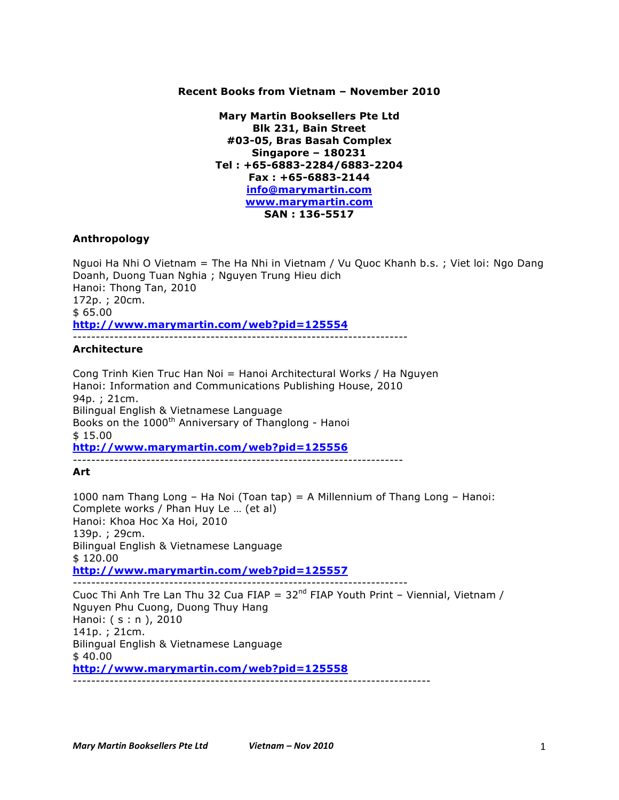### **Recent Books from Vietnam – November 2010**

**Mary Martin Booksellers Pte Ltd Blk 231, Bain Street #03-05, Bras Basah Complex Singapore – 180231 Tel : +65-6883-2284/6883-2204 Fax : +65-6883-2144 info@marymartin.com www.marymartin.com SAN : 136-5517**

#### **Anthropology**

Nguoi Ha Nhi O Vietnam = The Ha Nhi in Vietnam / Vu Quoc Khanh b.s. ; Viet loi: Ngo Dang Doanh, Duong Tuan Nghia ; Nguyen Trung Hieu dich Hanoi: Thong Tan, 2010 172p. ; 20cm. \$ 65.00 **http://www.marymartin.com/web?pid=125554** -------------------------------------------------------------------------

#### **Architecture**

Cong Trinh Kien Truc Han Noi = Hanoi Architectural Works / Ha Nguyen Hanoi: Information and Communications Publishing House, 2010 94p. ; 21cm. Bilingual English & Vietnamese Language Books on the 1000<sup>th</sup> Anniversary of Thanglong - Hanoi \$ 15.00 **http://www.marymartin.com/web?pid=125556** ------------------------------------------------------------------------

#### **Art**

1000 nam Thang Long – Ha Noi (Toan tap) = A Millennium of Thang Long – Hanoi: Complete works / Phan Huy Le … (et al) Hanoi: Khoa Hoc Xa Hoi, 2010 139p. ; 29cm. Bilingual English & Vietnamese Language \$ 120.00 **http://www.marymartin.com/web?pid=125557** ------------------------------------------------------------------------- Cuoc Thi Anh Tre Lan Thu 32 Cua FIAP =  $32<sup>nd</sup>$  FIAP Youth Print – Viennial, Vietnam / Nguyen Phu Cuong, Duong Thuy Hang

Hanoi: ( s : n ), 2010 141p. ; 21cm. Bilingual English & Vietnamese Language \$ 40.00 **http://www.marymartin.com/web?pid=125558** ------------------------------------------------------------------------------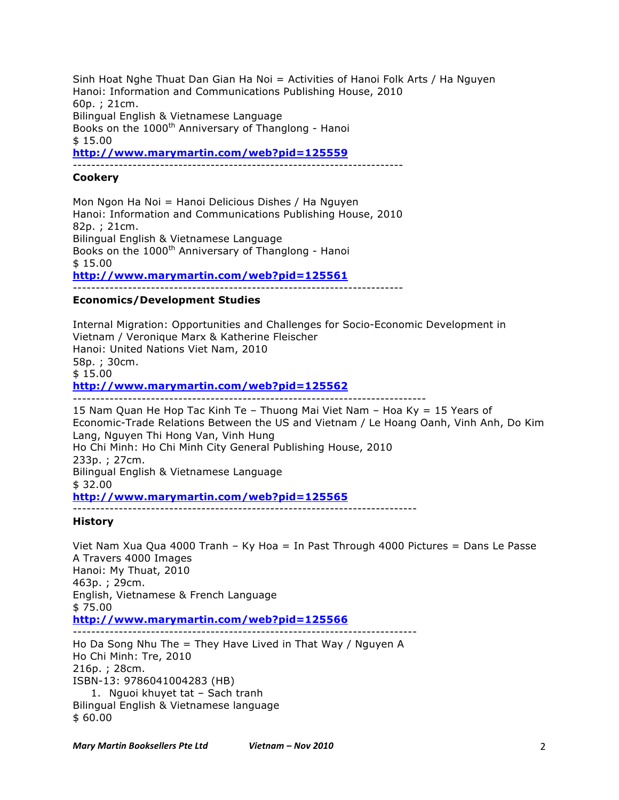Sinh Hoat Nghe Thuat Dan Gian Ha Noi = Activities of Hanoi Folk Arts / Ha Nguyen Hanoi: Information and Communications Publishing House, 2010 60p. ; 21cm. Bilingual English & Vietnamese Language Books on the 1000<sup>th</sup> Anniversary of Thanglong - Hanoi \$ 15.00 **http://www.marymartin.com/web?pid=125559**

------------------------------------------------------------------------

## **Cookery**

Mon Ngon Ha Noi = Hanoi Delicious Dishes / Ha Nguyen Hanoi: Information and Communications Publishing House, 2010 82p. ; 21cm. Bilingual English & Vietnamese Language Books on the 1000<sup>th</sup> Anniversary of Thanglong - Hanoi \$ 15.00 **http://www.marymartin.com/web?pid=125561** ------------------------------------------------------------------------

#### **Economics/Development Studies**

Internal Migration: Opportunities and Challenges for Socio-Economic Development in Vietnam / Veronique Marx & Katherine Fleischer Hanoi: United Nations Viet Nam, 2010 58p. ; 30cm. \$ 15.00 **http://www.marymartin.com/web?pid=125562** -----------------------------------------------------------------------------

15 Nam Quan He Hop Tac Kinh Te – Thuong Mai Viet Nam – Hoa Ky = 15 Years of Economic-Trade Relations Between the US and Vietnam / Le Hoang Oanh, Vinh Anh, Do Kim Lang, Nguyen Thi Hong Van, Vinh Hung Ho Chi Minh: Ho Chi Minh City General Publishing House, 2010 233p. ; 27cm. Bilingual English & Vietnamese Language \$ 32.00 **http://www.marymartin.com/web?pid=125565**

# ---------------------------------------------------------------------------

**History**

Viet Nam Xua Qua 4000 Tranh – Ky Hoa = In Past Through 4000 Pictures = Dans Le Passe A Travers 4000 Images Hanoi: My Thuat, 2010 463p. ; 29cm. English, Vietnamese & French Language \$ 75.00 **http://www.marymartin.com/web?pid=125566** ---------------------------------------------------------------------------

Ho Da Song Nhu The = They Have Lived in That Way / Nguyen A Ho Chi Minh: Tre, 2010 216p. ; 28cm. ISBN-13: 9786041004283 (HB) 1. Nguoi khuyet tat – Sach tranh Bilingual English & Vietnamese language \$ 60.00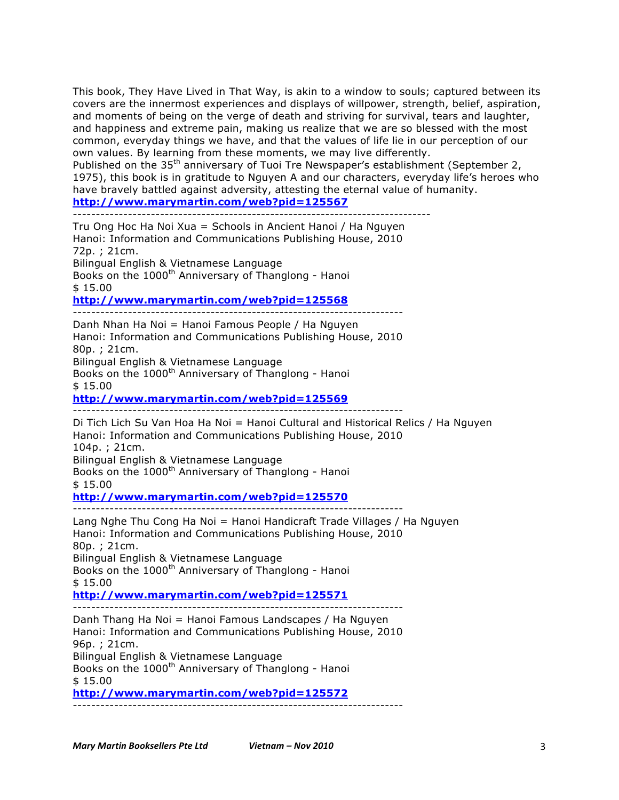This book, They Have Lived in That Way, is akin to a window to souls; captured between its covers are the innermost experiences and displays of willpower, strength, belief, aspiration, and moments of being on the verge of death and striving for survival, tears and laughter, and happiness and extreme pain, making us realize that we are so blessed with the most common, everyday things we have, and that the values of life lie in our perception of our own values. By learning from these moments, we may live differently.

Published on the 35<sup>th</sup> anniversary of Tuoi Tre Newspaper's establishment (September 2, 1975), this book is in gratitude to Nguyen A and our characters, everyday life's heroes who have bravely battled against adversity, attesting the eternal value of humanity. **http://www.marymartin.com/web?pid=125567**

------------------------------------------------------------------------------

Tru Ong Hoc Ha Noi Xua = Schools in Ancient Hanoi / Ha Nguyen Hanoi: Information and Communications Publishing House, 2010 72p. ; 21cm. Bilingual English & Vietnamese Language Books on the  $1000<sup>th</sup>$  Anniversary of Thanglong - Hanoi \$ 15.00 **http://www.marymartin.com/web?pid=125568** ------------------------------------------------------------------------

Danh Nhan Ha Noi = Hanoi Famous People / Ha Nguyen Hanoi: Information and Communications Publishing House, 2010 80p. ; 21cm. Bilingual English & Vietnamese Language

Books on the 1000<sup>th</sup> Anniversary of Thanglong - Hanoi \$ 15.00

**http://www.marymartin.com/web?pid=125569**

------------------------------------------------------------------------

Di Tich Lich Su Van Hoa Ha Noi = Hanoi Cultural and Historical Relics / Ha Nguyen Hanoi: Information and Communications Publishing House, 2010 104p. ; 21cm. Bilingual English & Vietnamese Language Books on the 1000<sup>th</sup> Anniversary of Thanglong - Hanoi \$ 15.00 **http://www.marymartin.com/web?pid=125570**

------------------------------------------------------------------------

Lang Nghe Thu Cong Ha Noi = Hanoi Handicraft Trade Villages / Ha Nguyen Hanoi: Information and Communications Publishing House, 2010 80p. ; 21cm. Bilingual English & Vietnamese Language Books on the 1000<sup>th</sup> Anniversary of Thanglong - Hanoi \$ 15.00

**http://www.marymartin.com/web?pid=125571**

------------------------------------------------------------------------ Danh Thang Ha Noi = Hanoi Famous Landscapes / Ha Nguyen Hanoi: Information and Communications Publishing House, 2010 96p. ; 21cm. Bilingual English & Vietnamese Language Books on the 1000<sup>th</sup> Anniversary of Thanglong - Hanoi \$ 15.00

**http://www.marymartin.com/web?pid=125572** ------------------------------------------------------------------------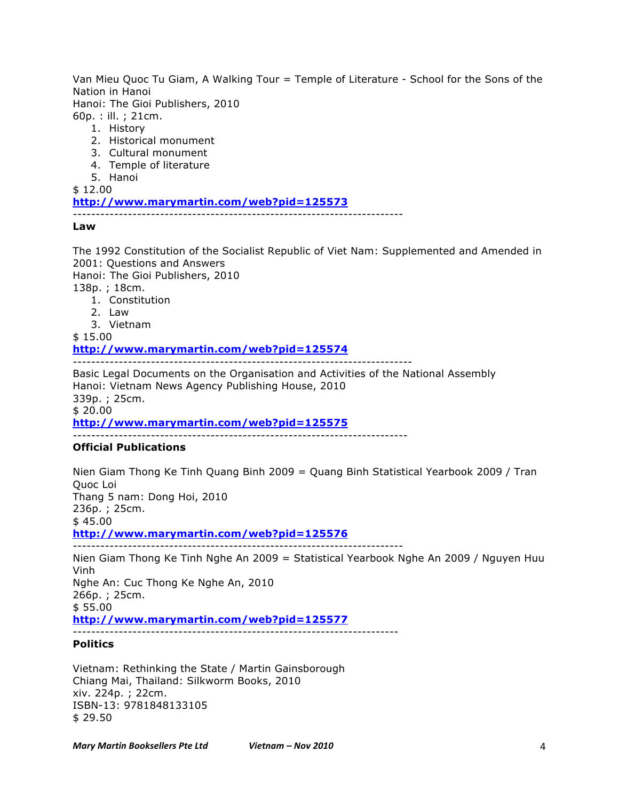Van Mieu Quoc Tu Giam, A Walking Tour = Temple of Literature - School for the Sons of the Nation in Hanoi

Hanoi: The Gioi Publishers, 2010

- 60p. : ill. ; 21cm.
	- 1. History
	- 2. Historical monument
	- 3. Cultural monument
	- 4. Temple of literature
	- 5. Hanoi

\$ 12.00

**http://www.marymartin.com/web?pid=125573**

------------------------------------------------------------------------

**Law**

The 1992 Constitution of the Socialist Republic of Viet Nam: Supplemented and Amended in 2001: Questions and Answers

Hanoi: The Gioi Publishers, 2010

138p. ; 18cm.

- 1. Constitution
- 2. Law
- 3. Vietnam

\$ 15.00 **http://www.marymartin.com/web?pid=125574** --------------------------------------------------------------------------

Basic Legal Documents on the Organisation and Activities of the National Assembly Hanoi: Vietnam News Agency Publishing House, 2010 339p. ; 25cm. \$ 20.00 **http://www.marymartin.com/web?pid=125575** -------------------------------------------------------------------------

## **Official Publications**

Nien Giam Thong Ke Tinh Quang Binh 2009 = Quang Binh Statistical Yearbook 2009 / Tran Quoc Loi Thang 5 nam: Dong Hoi, 2010 236p. ; 25cm. \$ 45.00 **http://www.marymartin.com/web?pid=125576** ------------------------------------------------------------------------

Nien Giam Thong Ke Tinh Nghe An 2009 = Statistical Yearbook Nghe An 2009 / Nguyen Huu Vinh Nghe An: Cuc Thong Ke Nghe An, 2010 266p. ; 25cm. \$ 55.00 **http://www.marymartin.com/web?pid=125577** -----------------------------------------------------------------------

# **Politics**

Vietnam: Rethinking the State / Martin Gainsborough Chiang Mai, Thailand: Silkworm Books, 2010 xiv. 224p. ; 22cm. ISBN-13: 9781848133105 \$ 29.50

*Mary%Martin%Booksellers%Pte%Ltd Vietnam%–%Nov%2010* 4